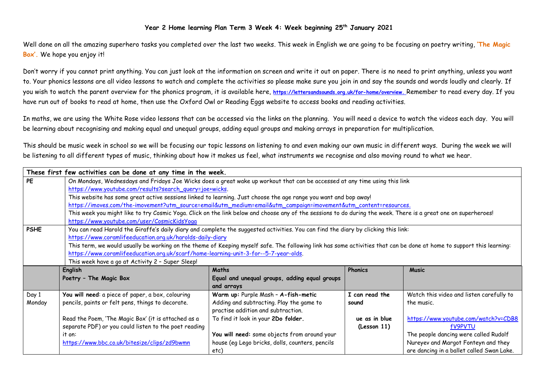## **Year 2 Home learning Plan Term 3 Week 4: Week beginning 25th January 2021**

Well done on all the amazing superhero tasks you completed over the last two weeks. This week in English we are going to be focusing on poetry writing, **'The Magic Box'.** We hope you enjoy it!

Don't worry if you cannot print anything. You can just look at the information on screen and write it out on paper. There is no need to print anything, unless you want to. Your phonics lessons are all video lessons to watch and complete the activities so please make sure you join in and say the sounds and words loudly and clearly. If you wish to watch the parent overview for the phonics program, it is available here, **[https://lettersandsounds.org.uk/for-home/overview.](https://lettersandsounds.org.uk/for-home/overview)** Remember to read every day. If you have run out of books to read at home, then use the Oxford Owl or Reading Eggs website to access books and reading activities.

In maths, we are using the White Rose video lessons that can be accessed via the links on the planning. You will need a device to watch the videos each day. You will be learning about recognising and making equal and unequal groups, adding equal groups and making arrays in preparation for multiplication.

This should be music week in school so we will be focusing our topic lessons on listening to and even making our own music in different ways. During the week we will be listening to all different types of music, thinking about how it makes us feel, what instruments we recognise and also moving round to what we hear.

|             | These first few activities can be done at any time in the week.                                                                                                       |                                                 |                |                                           |  |  |  |
|-------------|-----------------------------------------------------------------------------------------------------------------------------------------------------------------------|-------------------------------------------------|----------------|-------------------------------------------|--|--|--|
| <b>PE</b>   | On Mondays, Wednesdays and Fridays Joe Wicks does a great wake up workout that can be accessed at any time using this link                                            |                                                 |                |                                           |  |  |  |
|             | https://www.youtube.com/results?search_query=joe+wicks.                                                                                                               |                                                 |                |                                           |  |  |  |
|             | This website has some great active sessions linked to learning. Just choose the age range you want and bop away!                                                      |                                                 |                |                                           |  |  |  |
|             | https://imoves.com/the-imovement?utm_source=email&utm_medium=email&utm_campaign=imovement&utm_content=resources.                                                      |                                                 |                |                                           |  |  |  |
|             | This week you might like to try Cosmic Yoga. Click on the link below and choose any of the sessions to do during the week. There is a great one on superheroes!       |                                                 |                |                                           |  |  |  |
|             | https://www.youtube.com/user/CosmicKidsYoga                                                                                                                           |                                                 |                |                                           |  |  |  |
| <b>PSHE</b> | You can read Harold the Giraffe's daily diary and complete the suggested activities. You can find the diary by clicking this link:                                    |                                                 |                |                                           |  |  |  |
|             | https://www.coramlifeeducation.org.uk/harolds-daily-diary                                                                                                             |                                                 |                |                                           |  |  |  |
|             | This term, we would usually be working on the theme of Keeping myself safe. The following link has some activities that can be done at home to support this learning: |                                                 |                |                                           |  |  |  |
|             | https://www.coramlifeeducation.org.uk/scarf/home-learning-unit-3-for--5-7-year-olds.                                                                                  |                                                 |                |                                           |  |  |  |
|             | This week have a go at Activity 2 - Super Sleep!                                                                                                                      |                                                 |                |                                           |  |  |  |
|             | English                                                                                                                                                               | Maths                                           | <b>Phonics</b> | <b>Music</b>                              |  |  |  |
|             | Poetry - The Magic Box                                                                                                                                                | Equal and unequal groups, adding equal groups   |                |                                           |  |  |  |
|             |                                                                                                                                                                       | and arrays                                      |                |                                           |  |  |  |
| Day 1       | You will need: a piece of paper, a box, colouring                                                                                                                     | Warm up: Purple Mash - A-fish-metic             | I can read the | Watch this video and listen carefully to  |  |  |  |
| Monday      | pencils, paints or felt pens, things to decorate.                                                                                                                     | Adding and subtracting. Play the game to        | sound          | the music.                                |  |  |  |
|             |                                                                                                                                                                       | practise addition and subtraction.              |                |                                           |  |  |  |
|             | Read the Poem, 'The Magic Box' (it is attached as a                                                                                                                   | To find it look in your 2Do folder.             | ue as in blue  | https://www.youtube.com/watch?v=CDB8      |  |  |  |
|             | separate PDF) or you could listen to the poet reading                                                                                                                 |                                                 | (lesson 11)    | <b>fV9PVTU</b>                            |  |  |  |
|             | it on:                                                                                                                                                                | You will need: some objects from around your    |                | The people dancing were called Rudolf     |  |  |  |
|             | https://www.bbc.co.uk/bitesize/clips/zd9bwmn                                                                                                                          | house (eq Lego bricks, dolls, counters, pencils |                | Nureyev and Margot Fonteyn and they       |  |  |  |
|             |                                                                                                                                                                       | etc)                                            |                | are dancing in a ballet called Swan Lake. |  |  |  |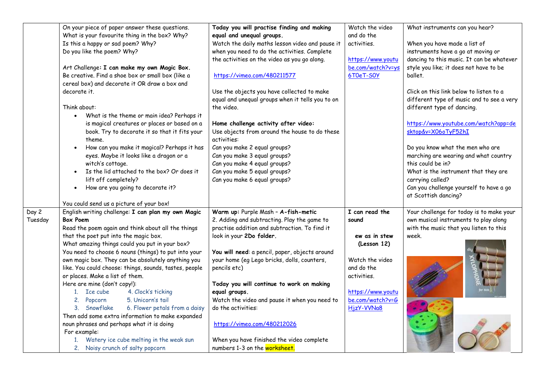|         | On your piece of paper answer these questions.          | Today you will practise finding and making       | Watch the video   | What instruments can you hear?            |
|---------|---------------------------------------------------------|--------------------------------------------------|-------------------|-------------------------------------------|
|         | What is your favourite thing in the box? Why?           | equal and unequal groups.                        | and do the        |                                           |
|         | Is this a happy or sad poem? Why?                       | Watch the daily maths lesson video and pause it  | activities.       | When you have made a list of              |
|         | Do you like the poem? Why?                              | when you need to do the activities. Complete     |                   | instruments have a go at moving or        |
|         |                                                         | the activities on the video as you go along.     | https://www.youtu | dancing to this music. It can be whatever |
|         | Art Challenge: I can make my own Magic Box.             |                                                  | be.com/watch?v=ys | style you like; it does not have to be    |
|         | Be creative. Find a shoe box or small box (like a       | https://vimeo.com/480211577                      | 6T0eT-S0Y         | ballet.                                   |
|         | cereal box) and decorate it OR draw a box and           |                                                  |                   |                                           |
|         | decorate it.                                            | Use the objects you have collected to make       |                   | Click on this link below to listen to a   |
|         |                                                         | equal and unequal groups when it tells you to on |                   | different type of music and to see a very |
|         | Think about:                                            | the video.                                       |                   | different type of dancing.                |
|         | What is the theme or main idea? Perhaps it<br>$\bullet$ |                                                  |                   |                                           |
|         | is magical creatures or places or based on a            | Home challenge activity after video:             |                   | https://www.youtube.com/watch?app=de      |
|         | book. Try to decorate it so that it fits your           | Use objects from around the house to do these    |                   | sktop&v=X06oTyF52hI                       |
|         | theme.                                                  | activities:                                      |                   |                                           |
|         | How can you make it magical? Perhaps it has             | Can you make 2 equal groups?                     |                   | Do you know what the men who are          |
|         | eyes. Maybe it looks like a dragon or a                 | Can you make 3 equal groups?                     |                   | marching are wearing and what country     |
|         | witch's cottage.                                        | Can you make 4 equal groups?                     |                   | this could be in?                         |
|         | Is the lid attached to the box? Or does it              | Can you make 5 equal groups?                     |                   | What is the instrument that they are      |
|         | lift off completely?                                    | Can you make 6 equal groups?                     |                   | carrying called?                          |
|         | How are you going to decorate it?<br>$\bullet$          |                                                  |                   | Can you challenge yourself to have a go   |
|         |                                                         |                                                  |                   | at Scottish dancing?                      |
|         | You could send us a picture of your box!                |                                                  |                   |                                           |
| Day 2   | English writing challenge: I can plan my own Magic      | Warm up: Purple Mash - A-fish-metic              | I can read the    | Your challenge for today is to make your  |
| Tuesday | <b>Box Poem</b>                                         | 2. Adding and subtracting. Play the game to      | sound             | own musical instruments to play along     |
|         | Read the poem again and think about all the things      | practise addition and subtraction. To find it    |                   | with the music that you listen to this    |
|         | that the poet put into the magic box.                   | look in your 2Do folder.                         | ew as in stew     | week.                                     |
|         | What amazing things could you put in your box?          |                                                  | (Lesson 12)       |                                           |
|         | You need to choose 6 nouns (things) to put into your    | You will need: a pencil, paper, objects around   |                   |                                           |
|         | own magic box. They can be absolutely anything you      | your home (eg Lego bricks, dolls, counters,      | Watch the video   |                                           |
|         | like. You could choose: things, sounds, tastes, people  | pencils etc)                                     | and do the        |                                           |
|         | or places. Make a list of them.                         |                                                  | activities.       |                                           |
|         | Here are mine (don't copy!):                            | Today you will continue to work on making        |                   |                                           |
|         | 4. Clock's ticking<br>1. Ice cube                       | equal groups.                                    | https://www.youtu |                                           |
|         | 5. Unicorn's tail<br>2. Popcorn                         | Watch the video and pause it when you need to    | be.com/watch?v=G  |                                           |
|         | 6. Flower petals from a daisy<br>3. Snowflake           | do the activities:                               | HjzY-VVNa8        |                                           |
|         | Then add some extra information to make expanded        |                                                  |                   |                                           |
|         | noun phrases and perhaps what it is doing               | https://vimeo.com/480212026                      |                   |                                           |
|         | For example:                                            |                                                  |                   |                                           |
|         | 1. Watery ice cube melting in the weak sun              | When you have finished the video complete        |                   |                                           |
|         | 2. Noisy crunch of salty popcorn                        | numbers 1-3 on the worksheet.                    |                   |                                           |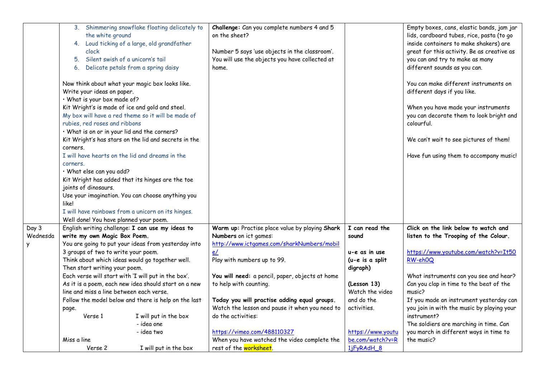|          | the white ground<br>clock<br>5. Silent swish of a unicorn's tail<br>Write your ideas on paper.<br>· What is your box made of?<br>rubies, red roses and ribbons<br>· What is on or in your lid and the corners?<br>corners.<br>corners.<br>· What else can you add?<br>joints of dinosaurs.<br>like! | 3. Shimmering snowflake floating delicately to<br>4. Loud ticking of a large, old grandfather<br>6. Delicate petals from a spring daisy<br>Now think about what your magic box looks like.<br>Kit Wright's is made of ice and gold and steel.<br>My box will have a red theme so it will be made of<br>Kit Wright's has stars on the lid and secrets in the<br>I will have hearts on the lid and dreams in the<br>Kit Wright has added that its hinges are the toe<br>Use your imagination. You can choose anything you<br>I will have rainbows from a unicorn on its hinges. | Challenge: Can you complete numbers 4 and 5<br>on the sheet?<br>Number 5 says 'use objects in the classroom'.<br>You will use the objects you have collected at<br>home. |                                | Empty boxes, cans, elastic bands, jam jar<br>lids, cardboard tubes, rice, pasta (to go<br>inside containers to make shakers) are<br>great for this activity. Be as creative as<br>you can and try to make as many<br>different sounds as you can.<br>You can make different instruments on<br>different days if you like.<br>When you have made your instruments<br>you can decorate them to look bright and<br>colourful.<br>We can't wait to see pictures of them!<br>Have fun using them to accompany music! |
|----------|-----------------------------------------------------------------------------------------------------------------------------------------------------------------------------------------------------------------------------------------------------------------------------------------------------|-------------------------------------------------------------------------------------------------------------------------------------------------------------------------------------------------------------------------------------------------------------------------------------------------------------------------------------------------------------------------------------------------------------------------------------------------------------------------------------------------------------------------------------------------------------------------------|--------------------------------------------------------------------------------------------------------------------------------------------------------------------------|--------------------------------|-----------------------------------------------------------------------------------------------------------------------------------------------------------------------------------------------------------------------------------------------------------------------------------------------------------------------------------------------------------------------------------------------------------------------------------------------------------------------------------------------------------------|
| Day 3    | Well done! You have planned your poem.                                                                                                                                                                                                                                                              | English writing challenge: I can use my ideas to                                                                                                                                                                                                                                                                                                                                                                                                                                                                                                                              | Warm up: Practise place value by playing Shark                                                                                                                           | I can read the                 | Click on the link below to watch and                                                                                                                                                                                                                                                                                                                                                                                                                                                                            |
| Wednesda | write my own Magic Box Poem.                                                                                                                                                                                                                                                                        |                                                                                                                                                                                                                                                                                                                                                                                                                                                                                                                                                                               | Numbers on ict games:                                                                                                                                                    | sound                          | listen to the Trooping of the Colour.                                                                                                                                                                                                                                                                                                                                                                                                                                                                           |
| Y        |                                                                                                                                                                                                                                                                                                     | You are going to put your ideas from yesterday into                                                                                                                                                                                                                                                                                                                                                                                                                                                                                                                           | http://www.ictgames.com/sharkNumbers/mobil                                                                                                                               |                                |                                                                                                                                                                                                                                                                                                                                                                                                                                                                                                                 |
|          | 3 groups of two to write your poem.                                                                                                                                                                                                                                                                 |                                                                                                                                                                                                                                                                                                                                                                                                                                                                                                                                                                               | e/                                                                                                                                                                       | u-e as in use                  | https://www.youtube.com/watch?v=It50                                                                                                                                                                                                                                                                                                                                                                                                                                                                            |
|          |                                                                                                                                                                                                                                                                                                     | Think about which ideas would go together well.                                                                                                                                                                                                                                                                                                                                                                                                                                                                                                                               | Play with numbers up to 99.                                                                                                                                              | (u-e is a split                | RW-eh0Q                                                                                                                                                                                                                                                                                                                                                                                                                                                                                                         |
|          | Then start writing your poem.                                                                                                                                                                                                                                                                       | Each verse will start with 'I will put in the box'.                                                                                                                                                                                                                                                                                                                                                                                                                                                                                                                           | You will need: a pencil, paper, objects at home                                                                                                                          | digraph)                       | What instruments can you see and hear?                                                                                                                                                                                                                                                                                                                                                                                                                                                                          |
|          |                                                                                                                                                                                                                                                                                                     | As it is a poem, each new idea should start on a new                                                                                                                                                                                                                                                                                                                                                                                                                                                                                                                          | to help with counting.                                                                                                                                                   | (Lesson 13)                    | Can you clap in time to the beat of the                                                                                                                                                                                                                                                                                                                                                                                                                                                                         |
|          | line and miss a line between each verse.                                                                                                                                                                                                                                                            |                                                                                                                                                                                                                                                                                                                                                                                                                                                                                                                                                                               |                                                                                                                                                                          | Watch the video                | music?                                                                                                                                                                                                                                                                                                                                                                                                                                                                                                          |
|          |                                                                                                                                                                                                                                                                                                     | Follow the model below and there is help on the last                                                                                                                                                                                                                                                                                                                                                                                                                                                                                                                          | Today you will practise adding equal groups.                                                                                                                             | and do the                     | If you made an instrument yesterday can                                                                                                                                                                                                                                                                                                                                                                                                                                                                         |
|          | page.                                                                                                                                                                                                                                                                                               |                                                                                                                                                                                                                                                                                                                                                                                                                                                                                                                                                                               | Watch the lesson and pause it when you need to                                                                                                                           | activities.                    | you join in with the music by playing your                                                                                                                                                                                                                                                                                                                                                                                                                                                                      |
|          | Verse 1                                                                                                                                                                                                                                                                                             | I will put in the box                                                                                                                                                                                                                                                                                                                                                                                                                                                                                                                                                         | do the activities:                                                                                                                                                       |                                | instrument?                                                                                                                                                                                                                                                                                                                                                                                                                                                                                                     |
|          |                                                                                                                                                                                                                                                                                                     | - idea one                                                                                                                                                                                                                                                                                                                                                                                                                                                                                                                                                                    |                                                                                                                                                                          |                                | The soldiers are marching in time. Can                                                                                                                                                                                                                                                                                                                                                                                                                                                                          |
|          |                                                                                                                                                                                                                                                                                                     | - idea two                                                                                                                                                                                                                                                                                                                                                                                                                                                                                                                                                                    | https://vimeo.com/488110327                                                                                                                                              | https://www.youtu              | you march in different ways in time to                                                                                                                                                                                                                                                                                                                                                                                                                                                                          |
|          | Miss a line<br>Verse 2                                                                                                                                                                                                                                                                              | I will put in the box                                                                                                                                                                                                                                                                                                                                                                                                                                                                                                                                                         | When you have watched the video complete the<br>rest of the worksheet.                                                                                                   | be.com/watch?v=R<br>1jFyRAdH_8 | the music?                                                                                                                                                                                                                                                                                                                                                                                                                                                                                                      |
|          |                                                                                                                                                                                                                                                                                                     |                                                                                                                                                                                                                                                                                                                                                                                                                                                                                                                                                                               |                                                                                                                                                                          |                                |                                                                                                                                                                                                                                                                                                                                                                                                                                                                                                                 |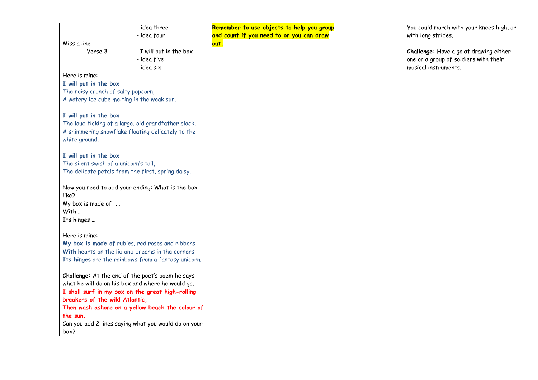| - idea three                                         | Remember to use objects to help you group | You could march with your knees high, or |
|------------------------------------------------------|-------------------------------------------|------------------------------------------|
| - idea four                                          | and count if you need to or you can draw  | with long strides.                       |
| Miss a line                                          | out.                                      |                                          |
| Verse 3<br>I will put in the box                     |                                           | Challenge: Have a go at drawing either   |
| - idea five                                          |                                           | one or a group of soldiers with their    |
| - idea six                                           |                                           | musical instruments.                     |
| Here is mine:                                        |                                           |                                          |
| I will put in the box                                |                                           |                                          |
| The noisy crunch of salty popcorn,                   |                                           |                                          |
| A watery ice cube melting in the weak sun.           |                                           |                                          |
| I will put in the box                                |                                           |                                          |
| The loud ticking of a large, old grandfather clock,  |                                           |                                          |
| A shimmering snowflake floating delicately to the    |                                           |                                          |
| white ground.                                        |                                           |                                          |
| I will put in the box                                |                                           |                                          |
| The silent swish of a unicorn's tail,                |                                           |                                          |
| The delicate petals from the first, spring daisy.    |                                           |                                          |
| Now you need to add your ending: What is the box     |                                           |                                          |
| like?                                                |                                           |                                          |
| My box is made of                                    |                                           |                                          |
| With                                                 |                                           |                                          |
| Its hinges                                           |                                           |                                          |
| Here is mine:                                        |                                           |                                          |
| My box is made of rubies, red roses and ribbons      |                                           |                                          |
| With hearts on the lid and dreams in the corners     |                                           |                                          |
| Its hinges are the rainbows from a fantasy unicorn.  |                                           |                                          |
| Challenge: At the end of the poet's poem he says     |                                           |                                          |
| what he will do on his box and where he would go.    |                                           |                                          |
| I shall surf in my box on the great high-rolling     |                                           |                                          |
| breakers of the wild Atlantic,                       |                                           |                                          |
| Then wash ashore on a yellow beach the colour of     |                                           |                                          |
| the sun.                                             |                                           |                                          |
| Can you add 2 lines saying what you would do on your |                                           |                                          |
| box?                                                 |                                           |                                          |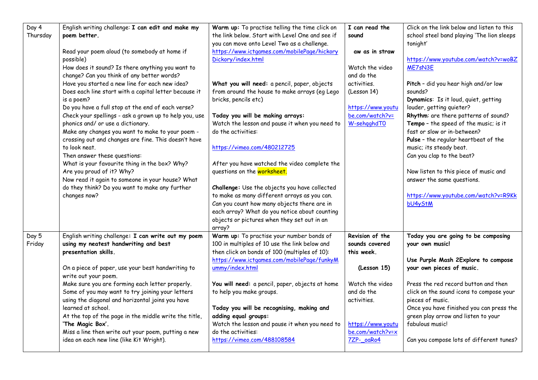| Day 4<br>Thursday | English writing challenge: I can edit and make my<br>poem better.<br>Read your poem aloud (to somebody at home if<br>possible)<br>How does it sound? Is there anything you want to<br>change? Can you think of any better words?<br>Have you started a new line for each new idea?<br>Does each line start with a capital letter because it<br>is a poem?<br>Do you have a full stop at the end of each verse?<br>Check your spellings - ask a grown up to help you, use<br>phonics and/ or use a dictionary.<br>Make any changes you want to make to your poem -<br>crossing out and changes are fine. This doesn't have<br>to look neat.<br>Then answer these questions:<br>What is your favourite thing in the box? Why?<br>Are you proud of it? Why?<br>Now read it again to someone in your house? What<br>do they think? Do you want to make any further<br>changes now? | Warm up: To practise telling the time click on<br>the link below. Start with Level One and see if<br>you can move onto Level Two as a challenge.<br>https://www.ictgames.com/mobilePage/hickory<br>Dickory/index.html<br>What you will need: a pencil, paper, objects<br>from around the house to make arrays (eg Lego<br>bricks, pencils etc)<br>Today you will be making arrays:<br>Watch the lesson and pause it when you need to<br>do the activities:<br>https://vimeo.com/480212725<br>After you have watched the video complete the<br>questions on the worksheet.<br>Challenge: Use the objects you have collected<br>to make as many different arrays as you can.<br>Can you count how many objects there are in | I can read the<br>sound<br>aw as in straw<br>Watch the video<br>and do the<br>activities.<br>(Lesson 14)<br>https://www.youtu<br>be.com/watch?v=<br>W-sehgghdT0       | Click on the link below and listen to this<br>school steel band playing 'The lion sleeps<br>tonight'<br>https://www.youtube.com/watch?v=woBZ<br>ME7sN3E<br>Pitch - did you hear high and/or low<br>sounds?<br>Dynamics: Is it loud, quiet, getting<br>louder, getting quieter?<br>Rhythm: are there patterns of sound?<br>Tempo - the speed of the music; is it<br>fast or slow or in-between?<br>Pulse - the regular heartbeat of the<br>music; its steady beat.<br>Can you clap to the beat?<br>Now listen to this piece of music and<br>answer the same questions.<br>https://www.youtube.com/watch?v=R9Kk<br>bU4yStM |
|-------------------|--------------------------------------------------------------------------------------------------------------------------------------------------------------------------------------------------------------------------------------------------------------------------------------------------------------------------------------------------------------------------------------------------------------------------------------------------------------------------------------------------------------------------------------------------------------------------------------------------------------------------------------------------------------------------------------------------------------------------------------------------------------------------------------------------------------------------------------------------------------------------------|---------------------------------------------------------------------------------------------------------------------------------------------------------------------------------------------------------------------------------------------------------------------------------------------------------------------------------------------------------------------------------------------------------------------------------------------------------------------------------------------------------------------------------------------------------------------------------------------------------------------------------------------------------------------------------------------------------------------------|-----------------------------------------------------------------------------------------------------------------------------------------------------------------------|--------------------------------------------------------------------------------------------------------------------------------------------------------------------------------------------------------------------------------------------------------------------------------------------------------------------------------------------------------------------------------------------------------------------------------------------------------------------------------------------------------------------------------------------------------------------------------------------------------------------------|
|                   |                                                                                                                                                                                                                                                                                                                                                                                                                                                                                                                                                                                                                                                                                                                                                                                                                                                                                | each array? What do you notice about counting<br>objects or pictures when they set out in an                                                                                                                                                                                                                                                                                                                                                                                                                                                                                                                                                                                                                              |                                                                                                                                                                       |                                                                                                                                                                                                                                                                                                                                                                                                                                                                                                                                                                                                                          |
| Day 5<br>Friday   | English writing challenge: I can write out my poem<br>using my neatest handwriting and best<br>presentation skills.<br>On a piece of paper, use your best handwriting to<br>write out your poem.<br>Make sure you are forming each letter properly.<br>Some of you may want to try joining your letters<br>using the diagonal and horizontal joins you have<br>learned at school.<br>At the top of the page in the middle write the title,<br>'The Magic Box'.<br>Miss a line then write out your poem, putting a new<br>idea on each new line (like Kit Wright).                                                                                                                                                                                                                                                                                                              | array?<br>Warm up: To practise your number bonds of<br>100 in multiples of 10 use the link below and<br>then click on bonds of 100 (multiples of 10):<br>https://www.ictgames.com/mobilePage/funkyM<br>ummy/index.html<br>You will need: a pencil, paper, objects at home<br>to help you make groups.<br>Today you will be recognising, making and<br>adding equal groups:<br>Watch the lesson and pause it when you need to<br>do the activities:<br>https://vimeo.com/488108584                                                                                                                                                                                                                                         | Revision of the<br>sounds covered<br>this week.<br>(Lesson 15)<br>Watch the video<br>and do the<br>activities.<br>https://www.youtu<br>be.com/watch?v=x<br>7ZP-_oaRo4 | Today you are going to be composing<br>your own music!<br>Use Purple Mash 2Explore to compose<br>your own pieces of music.<br>Press the red record button and then<br>click on the sound icons to compose your<br>pieces of music.<br>Once you have finished you can press the<br>green play arrow and listen to your<br>fabulous music!<br>Can you compose lots of different tunes?                                                                                                                                                                                                                                     |